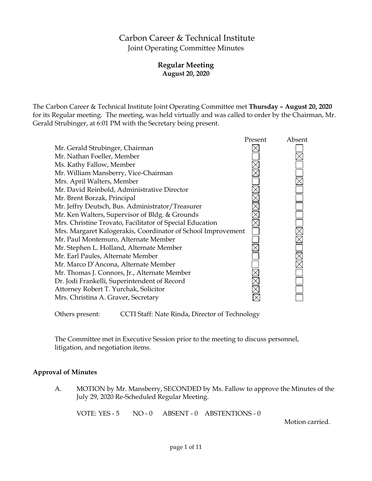# Carbon Career & Technical Institute Joint Operating Committee Minutes

## **Regular Meeting August 20, 2020**

The Carbon Career & Technical Institute Joint Operating Committee met **Thursday – August 20, 2020** for its Regular meeting. The meeting, was held virtually and was called to order by the Chairman, Mr. Gerald Strubinger, at 6:01 PM with the Secretary being present.

|                                                              | Present | Absent |
|--------------------------------------------------------------|---------|--------|
| Mr. Gerald Strubinger, Chairman                              |         |        |
| Mr. Nathan Foeller, Member                                   |         |        |
| Ms. Kathy Fallow, Member                                     |         |        |
| Mr. William Mansberry, Vice-Chairman                         |         |        |
| Mrs. April Walters, Member                                   |         |        |
| Mr. David Reinbold, Administrative Director                  |         |        |
| Mr. Brent Borzak, Principal                                  |         |        |
| Mr. Jeffry Deutsch, Bus. Administrator/Treasurer             |         |        |
| Mr. Ken Walters, Supervisor of Bldg. & Grounds               |         |        |
| Mrs. Christine Trovato, Facilitator of Special Education     |         |        |
| Mrs. Margaret Kalogerakis, Coordinator of School Improvement |         |        |
| Mr. Paul Montemuro, Alternate Member                         |         |        |
| Mr. Stephen L. Holland, Alternate Member                     |         |        |
| Mr. Earl Paules, Alternate Member                            |         |        |
| Mr. Marco D'Ancona, Alternate Member                         |         |        |
| Mr. Thomas J. Connors, Jr., Alternate Member                 |         |        |
| Dr. Jodi Frankelli, Superintendent of Record                 |         |        |
| Attorney Robert T. Yurchak, Solicitor                        |         |        |
| Mrs. Christina A. Graver, Secretary                          |         |        |
|                                                              |         |        |

Others present: CCTI Staff: Nate Rinda, Director of Technology

The Committee met in Executive Session prior to the meeting to discuss personnel, litigation, and negotiation items.

## **Approval of Minutes**

A. MOTION by Mr. Mansberry, SECONDED by Ms. Fallow to approve the Minutes of the July 29, 2020 Re-Scheduled Regular Meeting.

VOTE: YES - 5 NO - 0 ABSENT - 0 ABSTENTIONS - 0

Motion carried.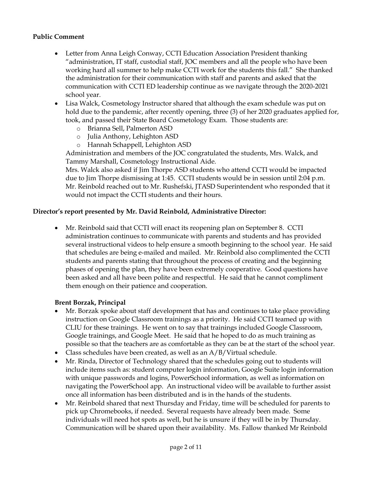## **Public Comment**

- Letter from Anna Leigh Conway, CCTI Education Association President thanking "administration, IT staff, custodial staff, JOC members and all the people who have been working hard all summer to help make CCTI work for the students this fall." She thanked the administration for their communication with staff and parents and asked that the communication with CCTI ED leadership continue as we navigate through the 2020-2021 school year.
- Lisa Walck, Cosmetology Instructor shared that although the exam schedule was put on hold due to the pandemic, after recently opening, three (3) of her 2020 graduates applied for, took, and passed their State Board Cosmetology Exam. Those students are:
	- o Brianna Sell, Palmerton ASD
	- o Julia Anthony, Lehighton ASD
	- o Hannah Schappell, Lehighton ASD

Administration and members of the JOC congratulated the students, Mrs. Walck, and Tammy Marshall, Cosmetology Instructional Aide.

Mrs. Walck also asked if Jim Thorpe ASD students who attend CCTI would be impacted due to Jim Thorpe dismissing at 1:45. CCTI students would be in session until 2:04 p.m. Mr. Reinbold reached out to Mr. Rushefski, JTASD Superintendent who responded that it would not impact the CCTI students and their hours.

## **Director's report presented by Mr. David Reinbold, Administrative Director:**

 Mr. Reinbold said that CCTI will enact its reopening plan on September 8. CCTI administration continues to communicate with parents and students and has provided several instructional videos to help ensure a smooth beginning to the school year. He said that schedules are being e-mailed and mailed. Mr. Reinbold also complimented the CCTI students and parents stating that throughout the process of creating and the beginning phases of opening the plan, they have been extremely cooperative. Good questions have been asked and all have been polite and respectful. He said that he cannot compliment them enough on their patience and cooperation.

## **Brent Borzak, Principal**

- Mr. Borzak spoke about staff development that has and continues to take place providing instruction on Google Classroom trainings as a priority. He said CCTI teamed up with CLIU for these trainings. He went on to say that trainings included Google Classroom, Google trainings, and Google Meet. He said that he hoped to do as much training as possible so that the teachers are as comfortable as they can be at the start of the school year.
- Class schedules have been created, as well as an A/B/Virtual schedule.
- Mr. Rinda, Director of Technology shared that the schedules going out to students will include items such as: student computer login information, Google Suite login information with unique passwords and logins, PowerSchool information, as well as information on navigating the PowerSchool app. An instructional video will be available to further assist once all information has been distributed and is in the hands of the students.
- Mr. Reinbold shared that next Thursday and Friday, time will be scheduled for parents to pick up Chromebooks, if needed. Several requests have already been made. Some individuals will need hot spots as well, but he is unsure if they will be in by Thursday. Communication will be shared upon their availability. Ms. Fallow thanked Mr Reinbold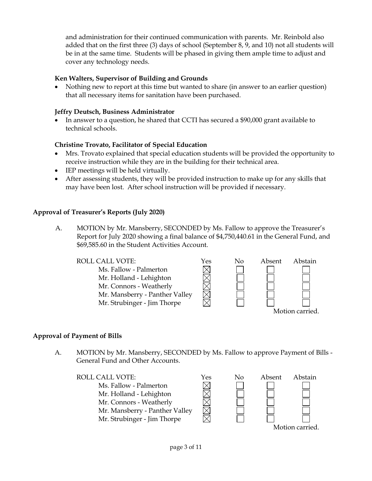and administration for their continued communication with parents. Mr. Reinbold also added that on the first three (3) days of school (September 8, 9, and 10) not all students will be in at the same time. Students will be phased in giving them ample time to adjust and cover any technology needs.

## **Ken Walters, Supervisor of Building and Grounds**

 Nothing new to report at this time but wanted to share (in answer to an earlier question) that all necessary items for sanitation have been purchased.

## **Jeffry Deutsch, Business Administrator**

 In answer to a question, he shared that CCTI has secured a \$90,000 grant available to technical schools.

## **Christine Trovato, Facilitator of Special Education**

- Mrs. Trovato explained that special education students will be provided the opportunity to receive instruction while they are in the building for their technical area.
- IEP meetings will be held virtually.
- After assessing students, they will be provided instruction to make up for any skills that may have been lost. After school instruction will be provided if necessary.

## **Approval of Treasurer's Reports (July 2020)**

A. MOTION by Mr. Mansberry, SECONDED by Ms. Fallow to approve the Treasurer's Report for July 2020 showing a final balance of \$4,750,440.61 in the General Fund, and \$69,585.60 in the Student Activities Account.

## ROLL CALL VOTE:  $Y$ es No Absent Abstain



## **Approval of Payment of Bills**

A. MOTION by Mr. Mansberry, SECONDED by Ms. Fallow to approve Payment of Bills - General Fund and Other Accounts.

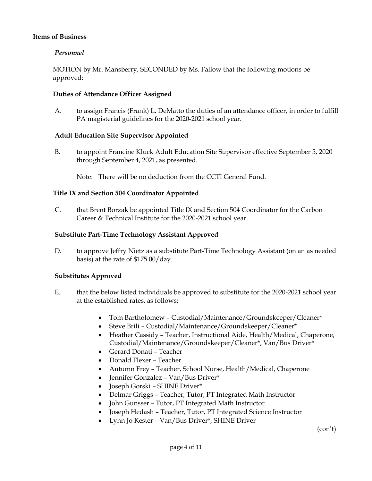#### **Items of Business**

### *Personnel*

MOTION by Mr. Mansberry, SECONDED by Ms. Fallow that the following motions be approved:

#### **Duties of Attendance Officer Assigned**

A. to assign Francis (Frank) L. DeMatto the duties of an attendance officer, in order to fulfill PA magisterial guidelines for the 2020-2021 school year.

#### **Adult Education Site Supervisor Appointed**

B. to appoint Francine Kluck Adult Education Site Supervisor effective September 5, 2020 through September 4, 2021, as presented.

Note: There will be no deduction from the CCTI General Fund.

### **Title IX and Section 504 Coordinator Appointed**

C. that Brent Borzak be appointed Title IX and Section 504 Coordinator for the Carbon Career & Technical Institute for the 2020-2021 school year.

#### **Substitute Part-Time Technology Assistant Approved**

D. to approve Jeffry Nietz as a substitute Part-Time Technology Assistant (on an as needed basis) at the rate of \$175.00/day.

#### **Substitutes Approved**

- E. that the below listed individuals be approved to substitute for the 2020-2021 school year at the established rates, as follows:
	- Tom Bartholomew Custodial/Maintenance/Groundskeeper/Cleaner\*
	- Steve Brili Custodial/Maintenance/Groundskeeper/Cleaner\*
	- Heather Cassidy Teacher, Instructional Aide, Health/Medical, Chaperone, Custodial/Maintenance/Groundskeeper/Cleaner\*, Van/Bus Driver\*
	- Gerard Donati Teacher
	- Donald Flexer Teacher
	- Autumn Frey Teacher, School Nurse, Health/Medical, Chaperone
	- Jennifer Gonzalez Van/Bus Driver\*
	- Joseph Gorski SHINE Driver\*
	- Delmar Griggs Teacher, Tutor, PT Integrated Math Instructor
	- John Gunsser Tutor, PT Integrated Math Instructor
	- Joseph Hedash Teacher, Tutor, PT Integrated Science Instructor
	- Lynn Jo Kester Van/Bus Driver\*, SHINE Driver

(con't)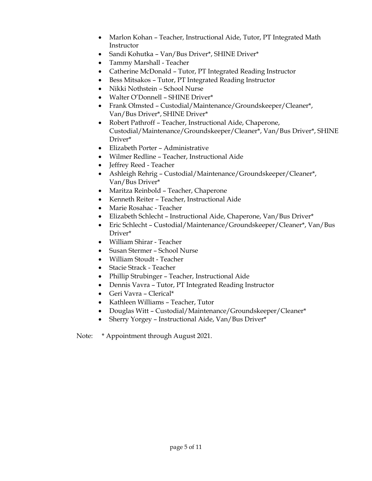- Marlon Kohan Teacher, Instructional Aide, Tutor, PT Integrated Math Instructor
- Sandi Kohutka Van/Bus Driver\*, SHINE Driver\*
- Tammy Marshall Teacher
- Catherine McDonald Tutor, PT Integrated Reading Instructor
- Bess Mitsakos Tutor, PT Integrated Reading Instructor
- Nikki Nothstein School Nurse
- Walter O'Donnell SHINE Driver\*
- Frank Olmsted Custodial/Maintenance/Groundskeeper/Cleaner\*, Van/Bus Driver\*, SHINE Driver\*
- Robert Pathroff Teacher, Instructional Aide, Chaperone, Custodial/Maintenance/Groundskeeper/Cleaner\*, Van/Bus Driver\*, SHINE Driver\*
- Elizabeth Porter Administrative
- Wilmer Redline Teacher, Instructional Aide
- Jeffrey Reed Teacher
- Ashleigh Rehrig Custodial/Maintenance/Groundskeeper/Cleaner\*, Van/Bus Driver\*
- Maritza Reinbold Teacher, Chaperone
- Kenneth Reiter Teacher, Instructional Aide
- Marie Rosahac Teacher
- Elizabeth Schlecht Instructional Aide, Chaperone, Van/Bus Driver\*
- Eric Schlecht Custodial/Maintenance/Groundskeeper/Cleaner\*, Van/Bus Driver\*
- William Shirar Teacher
- Susan Stermer School Nurse
- William Stoudt Teacher
- Stacie Strack Teacher
- Phillip Strubinger Teacher, Instructional Aide
- Dennis Vavra Tutor, PT Integrated Reading Instructor
- Geri Vavra Clerical\*
- Kathleen Williams Teacher, Tutor
- Douglas Witt Custodial/Maintenance/Groundskeeper/Cleaner\*
- Sherry Yorgey Instructional Aide, Van/Bus Driver\*

Note: \* Appointment through August 2021.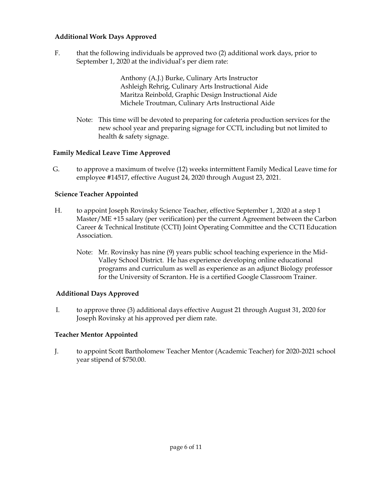## **Additional Work Days Approved**

F. that the following individuals be approved two (2) additional work days, prior to September 1, 2020 at the individual's per diem rate:

> Anthony (A.J.) Burke, Culinary Arts Instructor Ashleigh Rehrig, Culinary Arts Instructional Aide Maritza Reinbold, Graphic Design Instructional Aide Michele Troutman, Culinary Arts Instructional Aide

Note: This time will be devoted to preparing for cafeteria production services for the new school year and preparing signage for CCTI, including but not limited to health & safety signage.

#### **Family Medical Leave Time Approved**

G. to approve a maximum of twelve (12) weeks intermittent Family Medical Leave time for employee #14517, effective August 24, 2020 through August 23, 2021.

#### **Science Teacher Appointed**

- H. to appoint Joseph Rovinsky Science Teacher, effective September 1, 2020 at a step 1 Master/ME +15 salary (per verification) per the current Agreement between the Carbon Career & Technical Institute (CCTI) Joint Operating Committee and the CCTI Education Association.
	- Note: Mr. Rovinsky has nine (9) years public school teaching experience in the Mid-Valley School District. He has experience developing online educational programs and curriculum as well as experience as an adjunct Biology professor for the University of Scranton. He is a certified Google Classroom Trainer.

#### **Additional Days Approved**

I. to approve three (3) additional days effective August 21 through August 31, 2020 for Joseph Rovinsky at his approved per diem rate.

#### **Teacher Mentor Appointed**

J. to appoint Scott Bartholomew Teacher Mentor (Academic Teacher) for 2020-2021 school year stipend of \$750.00.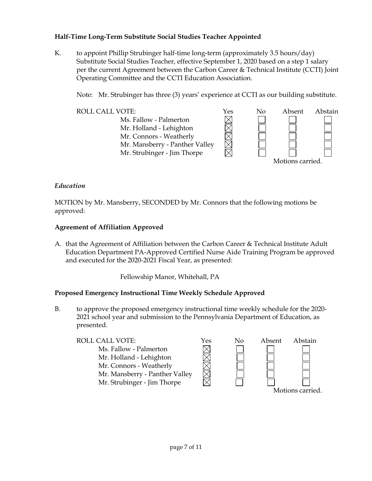## **Half-Time Long-Term Substitute Social Studies Teacher Appointed**

K. to appoint Phillip Strubinger half-time long-term (approximately 3.5 hours/day) Substitute Social Studies Teacher, effective September 1, 2020 based on a step 1 salary per the current Agreement between the Carbon Career & Technical Institute (CCTI) Joint Operating Committee and the CCTI Education Association.

Note: Mr. Strubinger has three (3) years' experience at CCTI as our building substitute.



## *Education*

MOTION by Mr. Mansberry, SECONDED by Mr. Connors that the following motions be approved:

## **Agreement of Affiliation Approved**

A. that the Agreement of Affiliation between the Carbon Career & Technical Institute Adult Education Department PA-Approved Certified Nurse Aide Training Program be approved and executed for the 2020-2021 Fiscal Year, as presented:

Fellowship Manor, Whitehall, PA

## **Proposed Emergency Instructional Time Weekly Schedule Approved**

B. to approve the proposed emergency instructional time weekly schedule for the 2020- 2021 school year and submission to the Pennsylvania Department of Education, as presented.

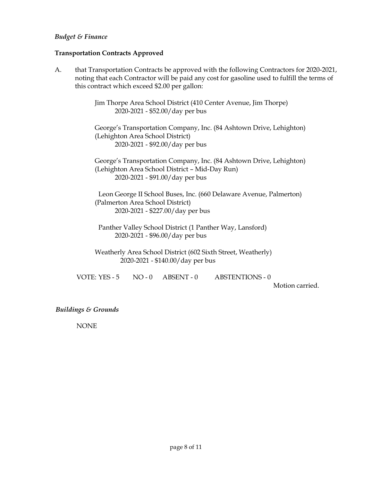#### *Budget & Finance*

### **Transportation Contracts Approved**

A. that Transportation Contracts be approved with the following Contractors for 2020-2021, noting that each Contractor will be paid any cost for gasoline used to fulfill the terms of this contract which exceed \$2.00 per gallon:

> Jim Thorpe Area School District (410 Center Avenue, Jim Thorpe) 2020-2021 - \$52.00/day per bus

 George's Transportation Company, Inc. (84 Ashtown Drive, Lehighton) (Lehighton Area School District) 2020-2021 - \$92.00/day per bus

 George's Transportation Company, Inc. (84 Ashtown Drive, Lehighton) (Lehighton Area School District – Mid-Day Run) 2020-2021 - \$91.00/day per bus

Leon George II School Buses, Inc. (660 Delaware Avenue, Palmerton) (Palmerton Area School District) 2020-2021 - \$227.00/day per bus

Panther Valley School District (1 Panther Way, Lansford) 2020-2021 - \$96.00/day per bus

 Weatherly Area School District (602 Sixth Street, Weatherly) 2020-2021 - \$140.00/day per bus

VOTE: YES - 5 NO - 0 ABSENT - 0 ABSTENTIONS - 0

Motion carried.

*Buildings & Grounds*

NONE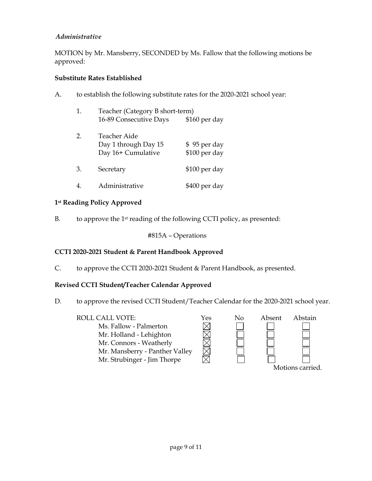## *Administrative*

MOTION by Mr. Mansberry, SECONDED by Ms. Fallow that the following motions be approved:

## **Substitute Rates Established**

A. to establish the following substitute rates for the 2020-2021 school year:

| 1. | Teacher (Category B short-term) |               |
|----|---------------------------------|---------------|
|    | 16-89 Consecutive Days          | \$160 per day |
| 2. | Teacher Aide                    |               |
|    | Day 1 through Day 15            | \$95 per day  |
|    | Day 16+ Cumulative              | \$100 per day |
| 3. | Secretary                       | \$100 per day |
|    | Administrative                  | \$400 per day |

## **1st Reading Policy Approved**

B. to approve the 1<sup>st</sup> reading of the following CCTI policy, as presented:

#815A – Operations

## **CCTI 2020-2021 Student & Parent Handbook Approved**

C. to approve the CCTI 2020-2021 Student & Parent Handbook, as presented.

#### **Revised CCTI Student/Teacher Calendar Approved**

D. to approve the revised CCTI Student/Teacher Calendar for the 2020-2021 school year.

ROLL CALL VOTE:<br>
Ms. Fallow - Palmerton<br>
Mr. Holland - Lehighton<br>
Mr. Connors - Weatherly<br>  $\boxtimes$ Ms. Fallow - Palmerton Mr. Holland - Lehighton Mr. Connors - Weatherly Mr. Mansberry - Panther Valley Mr. Strubinger - Jim Thorpe



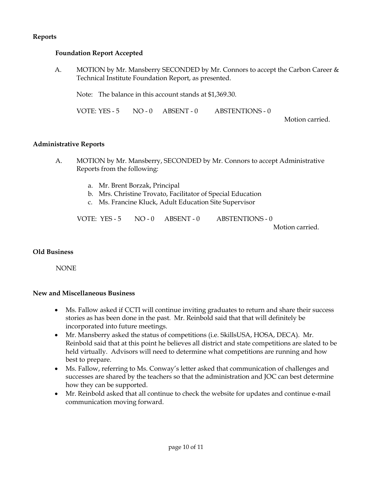### **Reports**

#### **Foundation Report Accepted**

A. MOTION by Mr. Mansberry SECONDED by Mr. Connors to accept the Carbon Career & Technical Institute Foundation Report, as presented.

Note: The balance in this account stands at \$1,369.30.

VOTE: YES - 5 NO - 0 ABSENT - 0 ABSTENTIONS - 0

Motion carried.

#### **Administrative Reports**

- A. MOTION by Mr. Mansberry, SECONDED by Mr. Connors to accept Administrative Reports from the following:
	- a. Mr. Brent Borzak, Principal
	- b. Mrs. Christine Trovato, Facilitator of Special Education
	- c. Ms. Francine Kluck, Adult Education Site Supervisor

VOTE: YES - 5 NO - 0 ABSENT - 0 ABSTENTIONS - 0

Motion carried.

#### **Old Business**

NONE

#### **New and Miscellaneous Business**

- Ms. Fallow asked if CCTI will continue inviting graduates to return and share their success stories as has been done in the past. Mr. Reinbold said that that will definitely be incorporated into future meetings.
- Mr. Mansberry asked the status of competitions (i.e. SkillsUSA, HOSA, DECA). Mr. Reinbold said that at this point he believes all district and state competitions are slated to be held virtually. Advisors will need to determine what competitions are running and how best to prepare.
- Ms. Fallow, referring to Ms. Conway's letter asked that communication of challenges and successes are shared by the teachers so that the administration and JOC can best determine how they can be supported.
- Mr. Reinbold asked that all continue to check the website for updates and continue e-mail communication moving forward.